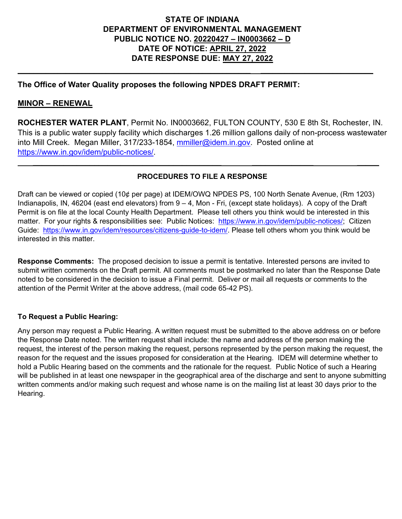# **STATE OF INDIANA DEPARTMENT OF ENVIRONMENTAL MANAGEMENT PUBLIC NOTICE NO. 20220427 – IN0003662 – D DATE OF NOTICE: APRIL 27, 2022 DATE RESPONSE DUE: MAY 27, 2022**

**\_\_\_\_\_\_\_\_\_\_\_\_\_\_\_\_\_\_\_\_\_\_\_\_\_\_\_\_\_\_\_\_\_\_\_\_\_\_\_\_\_\_\_\_\_\_\_\_\_\_\_\_\_\_\_\_\_\_ \_\_\_\_\_\_\_\_\_\_\_\_\_\_\_\_\_\_\_\_\_\_\_\_\_\_\_\_**

# **The Office of Water Quality proposes the following NPDES DRAFT PERMIT:**

# **MINOR – RENEWAL**

**ROCHESTER WATER PLANT**, Permit No. IN0003662, FULTON COUNTY, 530 E 8th St, Rochester, IN. This is a public water supply facility which discharges 1.26 million gallons daily of non-process wastewater into Mill Creek. Megan Miller, 317/233-1854, [mmiller@idem.in.gov.](mailto:mmiller@idem.in.gov) Posted online at [https://www.in.gov/idem/public-notices/.](https://www.in.gov/idem/public-notices/)

# **PROCEDURES TO FILE A RESPONSE**

 **\_\_\_\_\_\_\_\_\_\_\_\_\_\_\_\_\_\_\_\_\_\_\_\_\_\_\_\_\_\_\_\_\_\_\_\_\_\_\_\_\_\_\_ \_\_\_\_\_\_\_\_\_\_\_\_\_\_ \_\_\_\_\_**

Draft can be viewed or copied (10¢ per page) at IDEM/OWQ NPDES PS, 100 North Senate Avenue, (Rm 1203) Indianapolis, IN, 46204 (east end elevators) from 9 – 4, Mon - Fri, (except state holidays). A copy of the Draft Permit is on file at the local County Health Department. Please tell others you think would be interested in this matter. For your rights & responsibilities see: Public Notices: [https://www.in.gov/idem/public-notices/;](https://www.in.gov/idem/public-notices/) Citizen Guide: [https://www.in.gov/idem/resources/citizens-guide-to-idem/.](https://www.in.gov/idem/resources/citizens-guide-to-idem/) Please tell others whom you think would be interested in this matter.

**Response Comments:** The proposed decision to issue a permit is tentative. Interested persons are invited to submit written comments on the Draft permit. All comments must be postmarked no later than the Response Date noted to be considered in the decision to issue a Final permit. Deliver or mail all requests or comments to the attention of the Permit Writer at the above address, (mail code 65-42 PS).

## **To Request a Public Hearing:**

Any person may request a Public Hearing. A written request must be submitted to the above address on or before the Response Date noted. The written request shall include: the name and address of the person making the request, the interest of the person making the request, persons represented by the person making the request, the reason for the request and the issues proposed for consideration at the Hearing. IDEM will determine whether to hold a Public Hearing based on the comments and the rationale for the request. Public Notice of such a Hearing will be published in at least one newspaper in the geographical area of the discharge and sent to anyone submitting written comments and/or making such request and whose name is on the mailing list at least 30 days prior to the Hearing.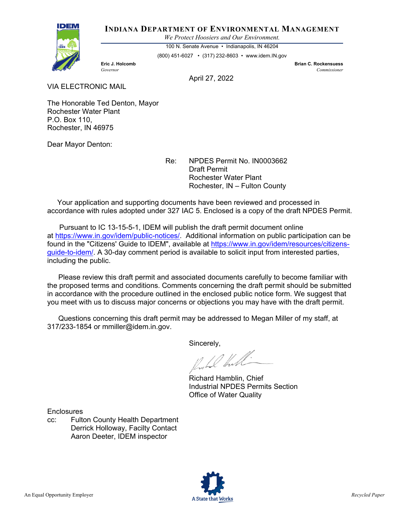

#### **INDIANA DEPARTMENT OF ENVIRONMENTAL MANAGEMENT**

*We Protect Hoosiers and Our Environment.*

100 N. Senate Avenue • Indianapolis, IN 46204

(800) 451-6027 • (317) 232-8603 • www.idem.IN.gov

**Eric J. Holcomb Brian C. Rockensuess**

*Governor Commissioner* 

April 27, 2022

VIA ELECTRONIC MAIL

The Honorable Ted Denton, Mayor Rochester Water Plant P.O. Box 110, Rochester, IN 46975

Dear Mayor Denton:

Re: NPDES Permit No. IN0003662 Draft Permit Rochester Water Plant Rochester, IN – Fulton County

 Your application and supporting documents have been reviewed and processed in accordance with rules adopted under 327 IAC 5. Enclosed is a copy of the draft NPDES Permit.

 Pursuant to IC 13-15-5-1, IDEM will publish the draft permit document online at [https://www.in.gov/idem/public-notices/.](https://www.in.gov/idem/public-notices/) Additional information on public participation can be found in the "Citizens' Guide to IDEM", available at [https://www.in.gov/idem/resources/citizens](https://www.in.gov/idem/resources/citizens-guide-to-idem/)[guide-to-idem/.](https://www.in.gov/idem/resources/citizens-guide-to-idem/) A 30-day comment period is available to solicit input from interested parties, including the public.

 Please review this draft permit and associated documents carefully to become familiar with the proposed terms and conditions. Comments concerning the draft permit should be submitted in accordance with the procedure outlined in the enclosed public notice form. We suggest that you meet with us to discuss major concerns or objections you may have with the draft permit.

 Questions concerning this draft permit may be addressed to Megan Miller of my staff, at 317/233-1854 or mmiller@idem.in.gov.

Sincerely,

Richard Hamblin, Chief Industrial NPDES Permits Section Office of Water Quality

**Enclosures** 

cc: Fulton County Health Department Derrick Holloway, Facilty Contact Aaron Deeter, IDEM inspector

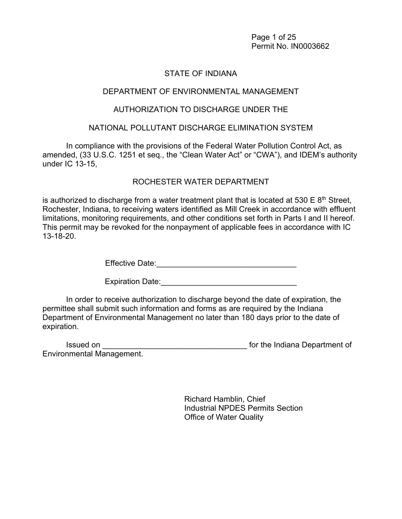Page 1 of 25 Permit No. IN0003662

# STATE OF INDIANA

## DEPARTMENT OF ENVIRONMENTAL MANAGEMENT

## AUTHORIZATION TO DISCHARGE UNDER THE

## NATIONAL POLLUTANT DISCHARGE ELIMINATION SYSTEM

In compliance with the provisions of the Federal Water Pollution Control Act, as amended, (33 U.S.C. 1251 et seq., the "Clean Water Act" or "CWA"), and IDEM's authority under IC 13-15,

# ROCHESTER WATER DEPARTMENT

is authorized to discharge from a water treatment plant that is located at 530 E  $8<sup>th</sup>$  Street, Rochester, Indiana, to receiving waters identified as Mill Creek in accordance with effluent limitations, monitoring requirements, and other conditions set forth in Parts I and II hereof. This permit may be revoked for the nonpayment of applicable fees in accordance with IC 13-18-20.

Effective Date:\_\_\_\_\_\_\_\_\_\_\_\_\_\_\_\_\_\_\_\_\_\_\_\_\_\_\_\_\_\_\_\_

Expiration Date:\_\_\_\_\_\_\_\_\_\_\_\_\_\_\_\_\_\_\_\_\_\_\_\_\_\_\_\_\_\_\_

In order to receive authorization to discharge beyond the date of expiration, the permittee shall submit such information and forms as are required by the Indiana Department of Environmental Management no later than 180 days prior to the date of expiration.

| Issued on                        | for the Indiana Department of |
|----------------------------------|-------------------------------|
| <b>Environmental Management.</b> |                               |

 Richard Hamblin, Chief Industrial NPDES Permits Section Office of Water Quality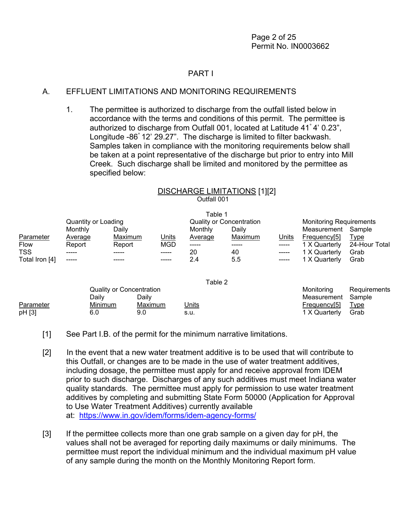## PART I

## A. EFFLUENT LIMITATIONS AND MONITORING REQUIREMENTS

1. The permittee is authorized to discharge from the outfall listed below in accordance with the terms and conditions of this permit. The permittee is authorized to discharge from Outfall 001, located at Latitude 41° 4' 0.23", Longitude -86° 12' 29.27". The discharge is limited to filter backwash. Samples taken in compliance with the monitoring requirements below shall be taken at a point representative of the discharge but prior to entry into Mill Creek. Such discharge shall be limited and monitored by the permittee as specified below:

# DISCHARGE LIMITATIONS [1][2] Outfall 001

|                |                     |         |              | Table 1        |                                 |              |                                |               |
|----------------|---------------------|---------|--------------|----------------|---------------------------------|--------------|--------------------------------|---------------|
|                | Quantity or Loading |         |              |                | <b>Quality or Concentration</b> |              | <b>Monitoring Requirements</b> |               |
|                | Monthly             | Dailv   |              | Monthly        | Daily                           |              | Measurement                    | Sample        |
| Parameter      | <b>Average</b>      | Maximum | <u>Units</u> | <b>Average</b> | Maximum                         | <u>Units</u> | Frequency[5]                   | <u>Type</u>   |
| <b>Flow</b>    | Report              | Report  | <b>MGD</b>   | $\frac{1}{2}$  |                                 |              | 1 X Quarterly                  | 24-Hour Total |
| <b>TSS</b>     |                     | -----   | -----        | 20             | 40                              |              | 1 X Quarterly                  | Grab          |
| Total Iron [4] |                     | -----   | -----        | 2.4            | 5.5                             | -----        | 1 X Quarterly                  | Grab          |

|           |                          |         | ι αυισ ∠     |                    |              |
|-----------|--------------------------|---------|--------------|--------------------|--------------|
|           | Quality or Concentration |         |              | Monitoring         | Requirements |
|           | Dailv                    | Dailv   |              | Measurement Sample |              |
| Parameter | <b>Minimum</b>           | Maximum | <u>Units</u> | Frequency[5]       | <u>Type</u>  |
| pH [3]    | 6.0                      | 9.0     | s.u.         | 1 X Quarterly      | Grab         |

Table 2

[1] See Part I.B. of the permit for the minimum narrative limitations.

- [2] In the event that a new water treatment additive is to be used that will contribute to this Outfall, or changes are to be made in the use of water treatment additives, including dosage, the permittee must apply for and receive approval from IDEM prior to such discharge. Discharges of any such additives must meet Indiana water quality standards. The permittee must apply for permission to use water treatment additives by completing and submitting State Form 50000 (Application for Approval to Use Water Treatment Additives) currently available at: [https://www.in.gov/idem/forms/idem-agency-forms/](http://www.in.gov/idem/5157.htm)
- [3] If the permittee collects more than one grab sample on a given day for pH, the values shall not be averaged for reporting daily maximums or daily minimums. The permittee must report the individual minimum and the individual maximum pH value of any sample during the month on the Monthly Monitoring Report form.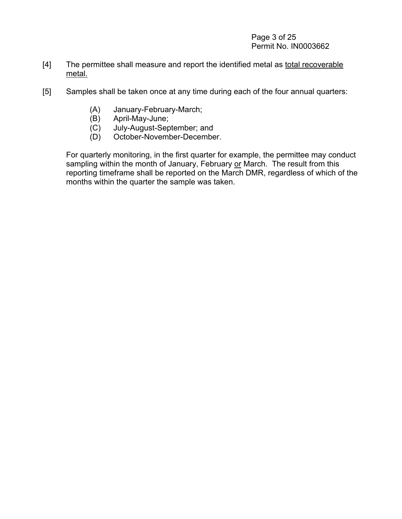## Page 3 of 25 Permit No. IN0003662

- [4] The permittee shall measure and report the identified metal as total recoverable metal.
- [5] Samples shall be taken once at any time during each of the four annual quarters:
	- (A) January-February-March;
	- (B) April-May-June;
	- July-August-September; and
	- (D) October-November-December.

For quarterly monitoring, in the first quarter for example, the permittee may conduct sampling within the month of January, February or March. The result from this reporting timeframe shall be reported on the March DMR, regardless of which of the months within the quarter the sample was taken.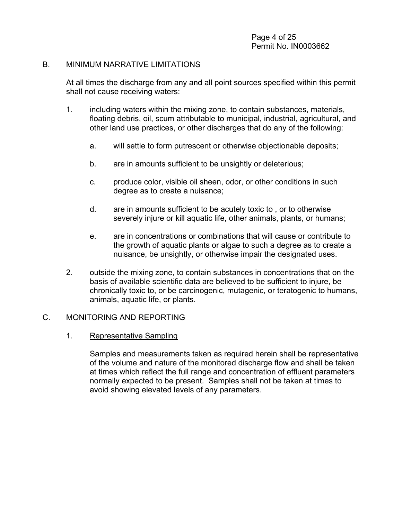#### B. MINIMUM NARRATIVE LIMITATIONS

At all times the discharge from any and all point sources specified within this permit shall not cause receiving waters:

- 1. including waters within the mixing zone, to contain substances, materials, floating debris, oil, scum attributable to municipal, industrial, agricultural, and other land use practices, or other discharges that do any of the following:
	- a. will settle to form putrescent or otherwise objectionable deposits;
	- b. are in amounts sufficient to be unsightly or deleterious;
	- c. produce color, visible oil sheen, odor, or other conditions in such degree as to create a nuisance;
	- d. are in amounts sufficient to be acutely toxic to , or to otherwise severely injure or kill aquatic life, other animals, plants, or humans;
	- e. are in concentrations or combinations that will cause or contribute to the growth of aquatic plants or algae to such a degree as to create a nuisance, be unsightly, or otherwise impair the designated uses.
- 2. outside the mixing zone, to contain substances in concentrations that on the basis of available scientific data are believed to be sufficient to injure, be chronically toxic to, or be carcinogenic, mutagenic, or teratogenic to humans, animals, aquatic life, or plants.

# C. MONITORING AND REPORTING

1. Representative Sampling

Samples and measurements taken as required herein shall be representative of the volume and nature of the monitored discharge flow and shall be taken at times which reflect the full range and concentration of effluent parameters normally expected to be present. Samples shall not be taken at times to avoid showing elevated levels of any parameters.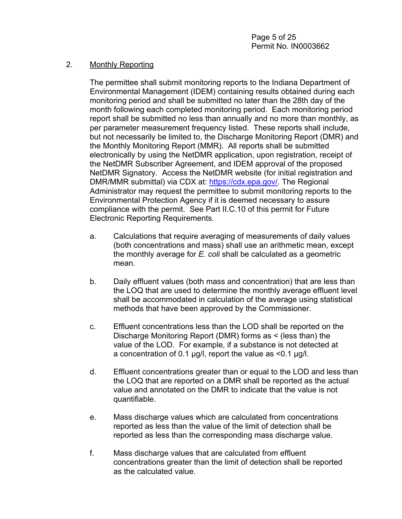## 2. Monthly Reporting

The permittee shall submit monitoring reports to the Indiana Department of Environmental Management (IDEM) containing results obtained during each monitoring period and shall be submitted no later than the 28th day of the month following each completed monitoring period. Each monitoring period report shall be submitted no less than annually and no more than monthly, as per parameter measurement frequency listed. These reports shall include, but not necessarily be limited to, the Discharge Monitoring Report (DMR) and the Monthly Monitoring Report (MMR). All reports shall be submitted electronically by using the NetDMR application, upon registration, receipt of the NetDMR Subscriber Agreement, and IDEM approval of the proposed NetDMR Signatory. Access the NetDMR website (for initial registration and DMR/MMR submittal) via CDX at: [https://cdx.epa.gov/.](https://cdx.epa.gov/) The Regional Administrator may request the permittee to submit monitoring reports to the Environmental Protection Agency if it is deemed necessary to assure compliance with the permit. See Part II.C.10 of this permit for Future Electronic Reporting Requirements.

- a. Calculations that require averaging of measurements of daily values (both concentrations and mass) shall use an arithmetic mean, except the monthly average for *E. coli* shall be calculated as a geometric mean.
- b. Daily effluent values (both mass and concentration) that are less than the LOQ that are used to determine the monthly average effluent level shall be accommodated in calculation of the average using statistical methods that have been approved by the Commissioner.
- c. Effluent concentrations less than the LOD shall be reported on the Discharge Monitoring Report (DMR) forms as < (less than) the value of the LOD. For example, if a substance is not detected at a concentration of 0.1 µg/l, report the value as <0.1 µg/l.
- d. Effluent concentrations greater than or equal to the LOD and less than the LOQ that are reported on a DMR shall be reported as the actual value and annotated on the DMR to indicate that the value is not quantifiable.
- e. Mass discharge values which are calculated from concentrations reported as less than the value of the limit of detection shall be reported as less than the corresponding mass discharge value.
- f. Mass discharge values that are calculated from effluent concentrations greater than the limit of detection shall be reported as the calculated value.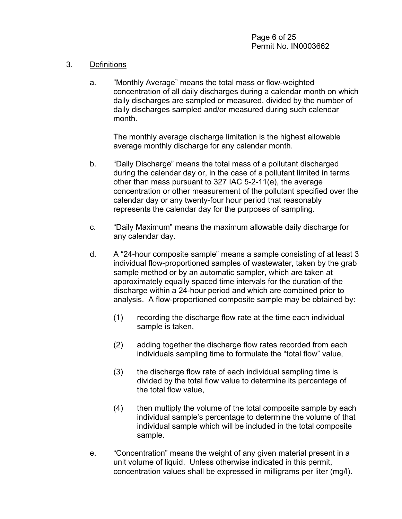# 3. Definitions

a. "Monthly Average" means the total mass or flow-weighted concentration of all daily discharges during a calendar month on which daily discharges are sampled or measured, divided by the number of daily discharges sampled and/or measured during such calendar month.

The monthly average discharge limitation is the highest allowable average monthly discharge for any calendar month.

- b. "Daily Discharge" means the total mass of a pollutant discharged during the calendar day or, in the case of a pollutant limited in terms other than mass pursuant to 327 IAC 5-2-11(e), the average concentration or other measurement of the pollutant specified over the calendar day or any twenty-four hour period that reasonably represents the calendar day for the purposes of sampling.
- c. "Daily Maximum" means the maximum allowable daily discharge for any calendar day.
- d. A "24-hour composite sample" means a sample consisting of at least 3 individual flow-proportioned samples of wastewater, taken by the grab sample method or by an automatic sampler, which are taken at approximately equally spaced time intervals for the duration of the discharge within a 24-hour period and which are combined prior to analysis. A flow-proportioned composite sample may be obtained by:
	- (1) recording the discharge flow rate at the time each individual sample is taken,
	- (2) adding together the discharge flow rates recorded from each individuals sampling time to formulate the "total flow" value,
	- (3) the discharge flow rate of each individual sampling time is divided by the total flow value to determine its percentage of the total flow value,
	- (4) then multiply the volume of the total composite sample by each individual sample's percentage to determine the volume of that individual sample which will be included in the total composite sample.
- e. "Concentration" means the weight of any given material present in a unit volume of liquid. Unless otherwise indicated in this permit, concentration values shall be expressed in milligrams per liter (mg/l).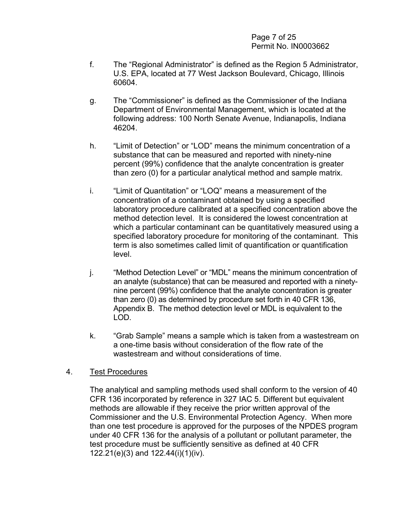#### Page 7 of 25 Permit No. IN0003662

- f. The "Regional Administrator" is defined as the Region 5 Administrator, U.S. EPA, located at 77 West Jackson Boulevard, Chicago, Illinois 60604.
- g. The "Commissioner" is defined as the Commissioner of the Indiana Department of Environmental Management, which is located at the following address: 100 North Senate Avenue, Indianapolis, Indiana 46204.
- h. "Limit of Detection" or "LOD" means the minimum concentration of a substance that can be measured and reported with ninety-nine percent (99%) confidence that the analyte concentration is greater than zero (0) for a particular analytical method and sample matrix.
- i. "Limit of Quantitation" or "LOQ" means a measurement of the concentration of a contaminant obtained by using a specified laboratory procedure calibrated at a specified concentration above the method detection level. It is considered the lowest concentration at which a particular contaminant can be quantitatively measured using a specified laboratory procedure for monitoring of the contaminant. This term is also sometimes called limit of quantification or quantification level.
- j. "Method Detection Level" or "MDL" means the minimum concentration of an analyte (substance) that can be measured and reported with a ninetynine percent (99%) confidence that the analyte concentration is greater than zero (0) as determined by procedure set forth in 40 CFR 136, Appendix B. The method detection level or MDL is equivalent to the LOD.
- k. "Grab Sample" means a sample which is taken from a wastestream on a one-time basis without consideration of the flow rate of the wastestream and without considerations of time.

## 4. Test Procedures

The analytical and sampling methods used shall conform to the version of 40 CFR 136 incorporated by reference in 327 IAC 5. Different but equivalent methods are allowable if they receive the prior written approval of the Commissioner and the U.S. Environmental Protection Agency. When more than one test procedure is approved for the purposes of the NPDES program under 40 CFR 136 for the analysis of a pollutant or pollutant parameter, the test procedure must be sufficiently sensitive as defined at 40 CFR 122.21(e)(3) and 122.44(i)(1)(iv).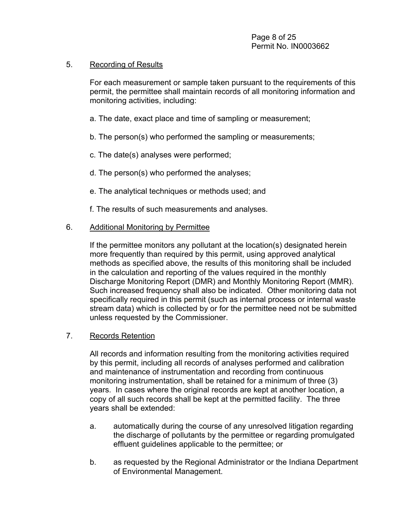#### 5. Recording of Results

For each measurement or sample taken pursuant to the requirements of this permit, the permittee shall maintain records of all monitoring information and monitoring activities, including:

- a. The date, exact place and time of sampling or measurement;
- b. The person(s) who performed the sampling or measurements;
- c. The date(s) analyses were performed;
- d. The person(s) who performed the analyses;
- e. The analytical techniques or methods used; and
- f. The results of such measurements and analyses.

## 6. Additional Monitoring by Permittee

If the permittee monitors any pollutant at the location(s) designated herein more frequently than required by this permit, using approved analytical methods as specified above, the results of this monitoring shall be included in the calculation and reporting of the values required in the monthly Discharge Monitoring Report (DMR) and Monthly Monitoring Report (MMR). Such increased frequency shall also be indicated. Other monitoring data not specifically required in this permit (such as internal process or internal waste stream data) which is collected by or for the permittee need not be submitted unless requested by the Commissioner.

## 7. Records Retention

All records and information resulting from the monitoring activities required by this permit, including all records of analyses performed and calibration and maintenance of instrumentation and recording from continuous monitoring instrumentation, shall be retained for a minimum of three (3) years. In cases where the original records are kept at another location, a copy of all such records shall be kept at the permitted facility. The three years shall be extended:

- a. automatically during the course of any unresolved litigation regarding the discharge of pollutants by the permittee or regarding promulgated effluent guidelines applicable to the permittee; or
- b. as requested by the Regional Administrator or the Indiana Department of Environmental Management.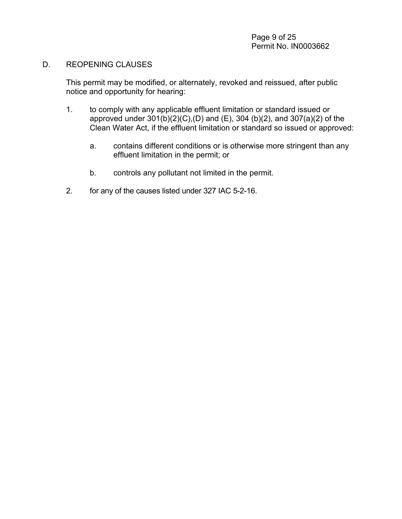#### D. REOPENING CLAUSES

This permit may be modified, or alternately, revoked and reissued, after public notice and opportunity for hearing:

- 1. to comply with any applicable effluent limitation or standard issued or approved under 301(b)(2)(C),(D) and (E), 304 (b)(2), and 307(a)(2) of the Clean Water Act, if the effluent limitation or standard so issued or approved:
	- a. contains different conditions or is otherwise more stringent than any effluent limitation in the permit; or
	- b. controls any pollutant not limited in the permit.
- 2. for any of the causes listed under 327 IAC 5-2-16.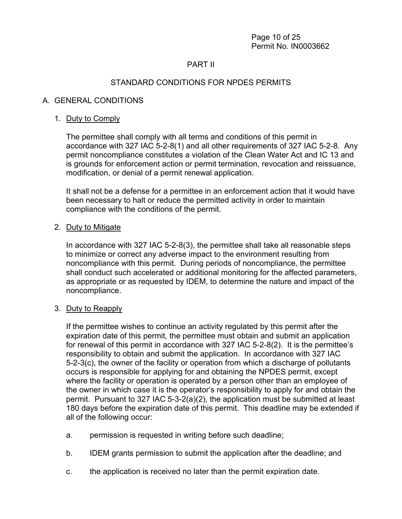# PART II

# STANDARD CONDITIONS FOR NPDES PERMITS

## A. GENERAL CONDITIONS

#### 1. Duty to Comply

The permittee shall comply with all terms and conditions of this permit in accordance with 327 IAC 5-2-8(1) and all other requirements of 327 IAC 5-2-8. Any permit noncompliance constitutes a violation of the Clean Water Act and IC 13 and is grounds for enforcement action or permit termination, revocation and reissuance, modification, or denial of a permit renewal application.

It shall not be a defense for a permittee in an enforcement action that it would have been necessary to halt or reduce the permitted activity in order to maintain compliance with the conditions of the permit.

#### 2. Duty to Mitigate

In accordance with 327 IAC 5-2-8(3), the permittee shall take all reasonable steps to minimize or correct any adverse impact to the environment resulting from noncompliance with this permit. During periods of noncompliance, the permittee shall conduct such accelerated or additional monitoring for the affected parameters, as appropriate or as requested by IDEM, to determine the nature and impact of the noncompliance.

#### 3. Duty to Reapply

If the permittee wishes to continue an activity regulated by this permit after the expiration date of this permit, the permittee must obtain and submit an application for renewal of this permit in accordance with 327 IAC 5-2-8(2). It is the permittee's responsibility to obtain and submit the application. In accordance with 327 IAC 5-2-3(c), the owner of the facility or operation from which a discharge of pollutants occurs is responsible for applying for and obtaining the NPDES permit, except where the facility or operation is operated by a person other than an employee of the owner in which case it is the operator's responsibility to apply for and obtain the permit. Pursuant to 327 IAC 5-3-2(a)(2), the application must be submitted at least 180 days before the expiration date of this permit. This deadline may be extended if all of the following occur:

- a. permission is requested in writing before such deadline;
- b. IDEM grants permission to submit the application after the deadline; and
- c. the application is received no later than the permit expiration date.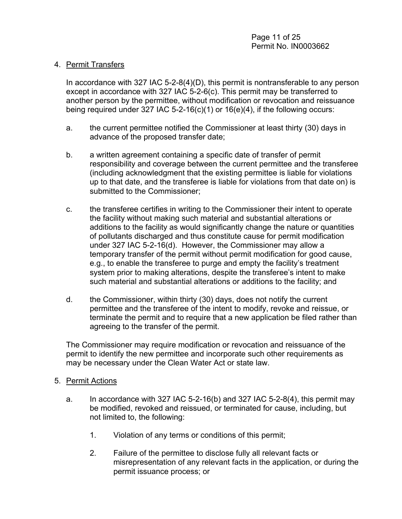## 4. Permit Transfers

In accordance with 327 IAC 5-2-8(4)(D), this permit is nontransferable to any person except in accordance with 327 IAC 5-2-6(c). This permit may be transferred to another person by the permittee, without modification or revocation and reissuance being required under 327 IAC 5-2-16(c)(1) or  $16(e)(4)$ , if the following occurs:

- a. the current permittee notified the Commissioner at least thirty (30) days in advance of the proposed transfer date;
- b. a written agreement containing a specific date of transfer of permit responsibility and coverage between the current permittee and the transferee (including acknowledgment that the existing permittee is liable for violations up to that date, and the transferee is liable for violations from that date on) is submitted to the Commissioner;
- c. the transferee certifies in writing to the Commissioner their intent to operate the facility without making such material and substantial alterations or additions to the facility as would significantly change the nature or quantities of pollutants discharged and thus constitute cause for permit modification under 327 IAC 5-2-16(d). However, the Commissioner may allow a temporary transfer of the permit without permit modification for good cause, e.g., to enable the transferee to purge and empty the facility's treatment system prior to making alterations, despite the transferee's intent to make such material and substantial alterations or additions to the facility; and
- d. the Commissioner, within thirty (30) days, does not notify the current permittee and the transferee of the intent to modify, revoke and reissue, or terminate the permit and to require that a new application be filed rather than agreeing to the transfer of the permit.

The Commissioner may require modification or revocation and reissuance of the permit to identify the new permittee and incorporate such other requirements as may be necessary under the Clean Water Act or state law.

## 5. Permit Actions

- a. In accordance with 327 IAC 5-2-16(b) and 327 IAC 5-2-8(4), this permit may be modified, revoked and reissued, or terminated for cause, including, but not limited to, the following:
	- 1. Violation of any terms or conditions of this permit;
	- 2. Failure of the permittee to disclose fully all relevant facts or misrepresentation of any relevant facts in the application, or during the permit issuance process; or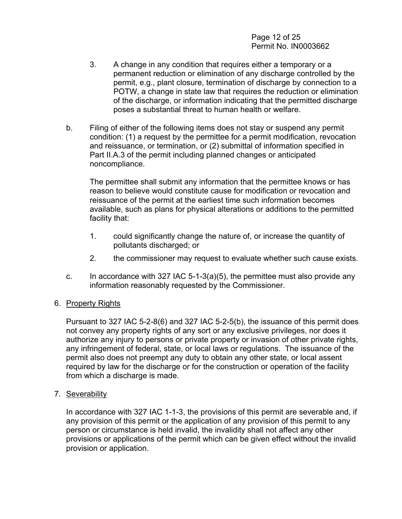Page 12 of 25 Permit No. IN0003662

- 3. A change in any condition that requires either a temporary or a permanent reduction or elimination of any discharge controlled by the permit, e.g., plant closure, termination of discharge by connection to a POTW, a change in state law that requires the reduction or elimination of the discharge, or information indicating that the permitted discharge poses a substantial threat to human health or welfare.
- b. Filing of either of the following items does not stay or suspend any permit condition: (1) a request by the permittee for a permit modification, revocation and reissuance, or termination, or (2) submittal of information specified in Part II.A.3 of the permit including planned changes or anticipated noncompliance.

The permittee shall submit any information that the permittee knows or has reason to believe would constitute cause for modification or revocation and reissuance of the permit at the earliest time such information becomes available, such as plans for physical alterations or additions to the permitted facility that:

- 1. could significantly change the nature of, or increase the quantity of pollutants discharged; or
- 2. the commissioner may request to evaluate whether such cause exists.
- c. In accordance with 327 IAC 5-1-3(a)(5), the permittee must also provide any information reasonably requested by the Commissioner.

## 6. Property Rights

Pursuant to 327 IAC 5-2-8(6) and 327 IAC 5-2-5(b), the issuance of this permit does not convey any property rights of any sort or any exclusive privileges, nor does it authorize any injury to persons or private property or invasion of other private rights, any infringement of federal, state, or local laws or regulations. The issuance of the permit also does not preempt any duty to obtain any other state, or local assent required by law for the discharge or for the construction or operation of the facility from which a discharge is made.

7. Severability

In accordance with 327 IAC 1-1-3, the provisions of this permit are severable and, if any provision of this permit or the application of any provision of this permit to any person or circumstance is held invalid, the invalidity shall not affect any other provisions or applications of the permit which can be given effect without the invalid provision or application.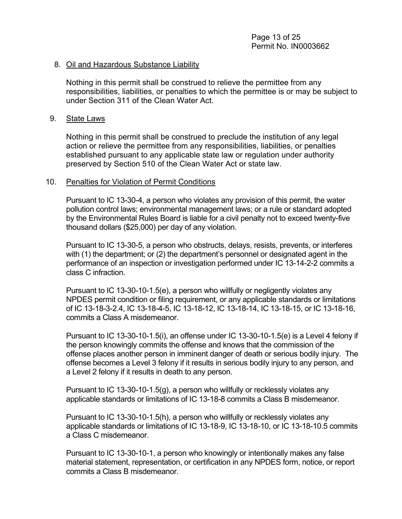#### 8. Oil and Hazardous Substance Liability

Nothing in this permit shall be construed to relieve the permittee from any responsibilities, liabilities, or penalties to which the permittee is or may be subject to under Section 311 of the Clean Water Act.

#### 9. State Laws

Nothing in this permit shall be construed to preclude the institution of any legal action or relieve the permittee from any responsibilities, liabilities, or penalties established pursuant to any applicable state law or regulation under authority preserved by Section 510 of the Clean Water Act or state law.

#### 10. Penalties for Violation of Permit Conditions

Pursuant to IC 13-30-4, a person who violates any provision of this permit, the water pollution control laws; environmental management laws; or a rule or standard adopted by the Environmental Rules Board is liable for a civil penalty not to exceed twenty-five thousand dollars (\$25,000) per day of any violation.

Pursuant to IC 13-30-5, a person who obstructs, delays, resists, prevents, or interferes with (1) the department; or (2) the department's personnel or designated agent in the performance of an inspection or investigation performed under IC 13-14-2-2 commits a class C infraction.

Pursuant to IC 13-30-10-1.5(e), a person who willfully or negligently violates any NPDES permit condition or filing requirement, or any applicable standards or limitations of IC 13-18-3-2.4, IC 13-18-4-5, IC 13-18-12, IC 13-18-14, IC 13-18-15, or IC 13-18-16, commits a Class A misdemeanor.

Pursuant to IC 13-30-10-1.5(i), an offense under IC 13-30-10-1.5(e) is a Level 4 felony if the person knowingly commits the offense and knows that the commission of the offense places another person in imminent danger of death or serious bodily injury. The offense becomes a Level 3 felony if it results in serious bodily injury to any person, and a Level 2 felony if it results in death to any person.

Pursuant to IC 13-30-10-1.5(g), a person who willfully or recklessly violates any applicable standards or limitations of IC 13-18-8 commits a Class B misdemeanor.

Pursuant to IC 13-30-10-1.5(h), a person who willfully or recklessly violates any applicable standards or limitations of IC 13-18-9, IC 13-18-10, or IC 13-18-10.5 commits a Class C misdemeanor.

Pursuant to IC 13-30-10-1, a person who knowingly or intentionally makes any false material statement, representation, or certification in any NPDES form, notice, or report commits a Class B misdemeanor.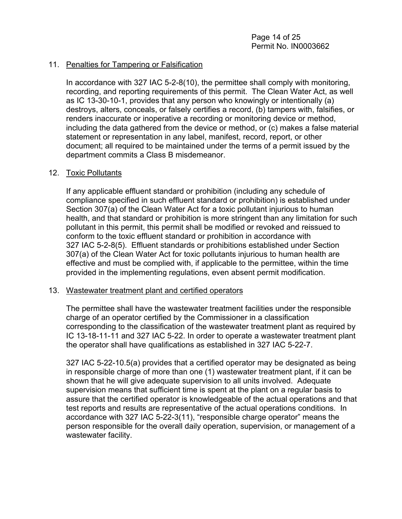## 11. Penalties for Tampering or Falsification

In accordance with 327 IAC 5-2-8(10), the permittee shall comply with monitoring, recording, and reporting requirements of this permit. The Clean Water Act, as well as IC 13-30-10-1, provides that any person who knowingly or intentionally (a) destroys, alters, conceals, or falsely certifies a record, (b) tampers with, falsifies, or renders inaccurate or inoperative a recording or monitoring device or method, including the data gathered from the device or method, or (c) makes a false material statement or representation in any label, manifest, record, report, or other document; all required to be maintained under the terms of a permit issued by the department commits a Class B misdemeanor.

#### 12. Toxic Pollutants

If any applicable effluent standard or prohibition (including any schedule of compliance specified in such effluent standard or prohibition) is established under Section 307(a) of the Clean Water Act for a toxic pollutant injurious to human health, and that standard or prohibition is more stringent than any limitation for such pollutant in this permit, this permit shall be modified or revoked and reissued to conform to the toxic effluent standard or prohibition in accordance with 327 IAC 5-2-8(5). Effluent standards or prohibitions established under Section 307(a) of the Clean Water Act for toxic pollutants injurious to human health are effective and must be complied with, if applicable to the permittee, within the time provided in the implementing regulations, even absent permit modification.

#### 13. Wastewater treatment plant and certified operators

The permittee shall have the wastewater treatment facilities under the responsible charge of an operator certified by the Commissioner in a classification corresponding to the classification of the wastewater treatment plant as required by IC 13-18-11-11 and 327 IAC 5-22. In order to operate a wastewater treatment plant the operator shall have qualifications as established in 327 IAC 5-22-7.

327 IAC 5-22-10.5(a) provides that a certified operator may be designated as being in responsible charge of more than one (1) wastewater treatment plant, if it can be shown that he will give adequate supervision to all units involved. Adequate supervision means that sufficient time is spent at the plant on a regular basis to assure that the certified operator is knowledgeable of the actual operations and that test reports and results are representative of the actual operations conditions. In accordance with 327 IAC 5-22-3(11), "responsible charge operator" means the person responsible for the overall daily operation, supervision, or management of a wastewater facility.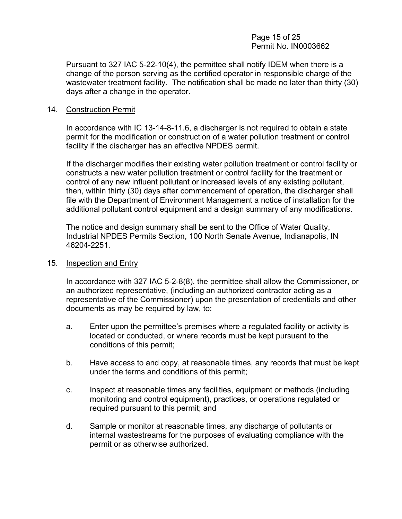#### Page 15 of 25 Permit No. IN0003662

Pursuant to 327 IAC 5-22-10(4), the permittee shall notify IDEM when there is a change of the person serving as the certified operator in responsible charge of the wastewater treatment facility. The notification shall be made no later than thirty (30) days after a change in the operator.

#### 14. Construction Permit

In accordance with IC 13-14-8-11.6, a discharger is not required to obtain a state permit for the modification or construction of a water pollution treatment or control facility if the discharger has an effective NPDES permit.

If the discharger modifies their existing water pollution treatment or control facility or constructs a new water pollution treatment or control facility for the treatment or control of any new influent pollutant or increased levels of any existing pollutant, then, within thirty (30) days after commencement of operation, the discharger shall file with the Department of Environment Management a notice of installation for the additional pollutant control equipment and a design summary of any modifications.

The notice and design summary shall be sent to the Office of Water Quality, Industrial NPDES Permits Section, 100 North Senate Avenue, Indianapolis, IN 46204-2251.

#### 15. Inspection and Entry

In accordance with 327 IAC 5-2-8(8), the permittee shall allow the Commissioner, or an authorized representative, (including an authorized contractor acting as a representative of the Commissioner) upon the presentation of credentials and other documents as may be required by law, to:

- a. Enter upon the permittee's premises where a regulated facility or activity is located or conducted, or where records must be kept pursuant to the conditions of this permit;
- b. Have access to and copy, at reasonable times, any records that must be kept under the terms and conditions of this permit;
- c. Inspect at reasonable times any facilities, equipment or methods (including monitoring and control equipment), practices, or operations regulated or required pursuant to this permit; and
- d. Sample or monitor at reasonable times, any discharge of pollutants or internal wastestreams for the purposes of evaluating compliance with the permit or as otherwise authorized.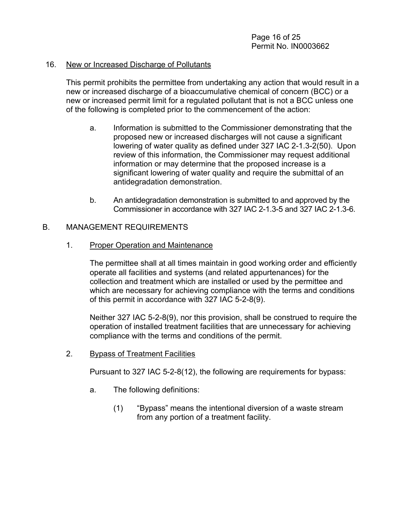#### 16. New or Increased Discharge of Pollutants

This permit prohibits the permittee from undertaking any action that would result in a new or increased discharge of a bioaccumulative chemical of concern (BCC) or a new or increased permit limit for a regulated pollutant that is not a BCC unless one of the following is completed prior to the commencement of the action:

- a. Information is submitted to the Commissioner demonstrating that the proposed new or increased discharges will not cause a significant lowering of water quality as defined under 327 IAC 2-1.3-2(50). Upon review of this information, the Commissioner may request additional information or may determine that the proposed increase is a significant lowering of water quality and require the submittal of an antidegradation demonstration.
- b. An antidegradation demonstration is submitted to and approved by the Commissioner in accordance with 327 IAC 2-1.3-5 and 327 IAC 2-1.3-6.

## B. MANAGEMENT REQUIREMENTS

## 1. Proper Operation and Maintenance

The permittee shall at all times maintain in good working order and efficiently operate all facilities and systems (and related appurtenances) for the collection and treatment which are installed or used by the permittee and which are necessary for achieving compliance with the terms and conditions of this permit in accordance with 327 IAC 5-2-8(9).

Neither 327 IAC 5-2-8(9), nor this provision, shall be construed to require the operation of installed treatment facilities that are unnecessary for achieving compliance with the terms and conditions of the permit.

## 2. Bypass of Treatment Facilities

Pursuant to 327 IAC 5-2-8(12), the following are requirements for bypass:

- a. The following definitions:
	- (1) "Bypass" means the intentional diversion of a waste stream from any portion of a treatment facility.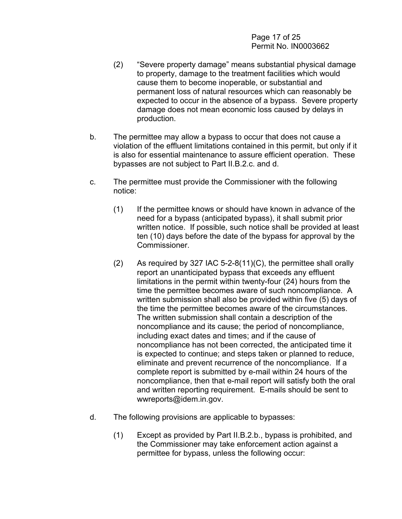Page 17 of 25 Permit No. IN0003662

- (2) "Severe property damage" means substantial physical damage to property, damage to the treatment facilities which would cause them to become inoperable, or substantial and permanent loss of natural resources which can reasonably be expected to occur in the absence of a bypass. Severe property damage does not mean economic loss caused by delays in production.
- b. The permittee may allow a bypass to occur that does not cause a violation of the effluent limitations contained in this permit, but only if it is also for essential maintenance to assure efficient operation. These bypasses are not subject to Part II.B.2.c. and d.
- c. The permittee must provide the Commissioner with the following notice:
	- (1) If the permittee knows or should have known in advance of the need for a bypass (anticipated bypass), it shall submit prior written notice. If possible, such notice shall be provided at least ten (10) days before the date of the bypass for approval by the Commissioner.
	- (2) As required by 327 IAC 5-2-8(11)(C), the permittee shall orally report an unanticipated bypass that exceeds any effluent limitations in the permit within twenty-four (24) hours from the time the permittee becomes aware of such noncompliance. A written submission shall also be provided within five (5) days of the time the permittee becomes aware of the circumstances. The written submission shall contain a description of the noncompliance and its cause; the period of noncompliance, including exact dates and times; and if the cause of noncompliance has not been corrected, the anticipated time it is expected to continue; and steps taken or planned to reduce, eliminate and prevent recurrence of the noncompliance. If a complete report is submitted by e-mail within 24 hours of the noncompliance, then that e-mail report will satisfy both the oral and written reporting requirement. E-mails should be sent to wwreports@idem.in.gov.
- d. The following provisions are applicable to bypasses:
	- (1) Except as provided by Part II.B.2.b., bypass is prohibited, and the Commissioner may take enforcement action against a permittee for bypass, unless the following occur: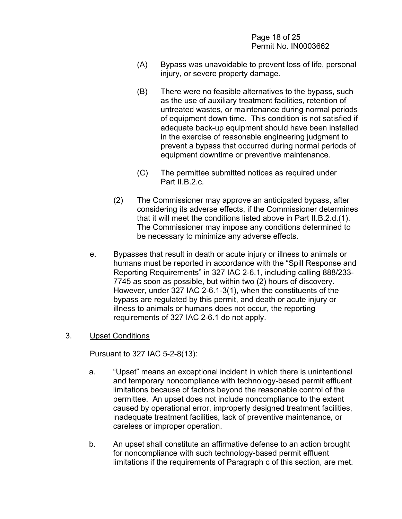Page 18 of 25 Permit No. IN0003662

- (A) Bypass was unavoidable to prevent loss of life, personal injury, or severe property damage.
- (B) There were no feasible alternatives to the bypass, such as the use of auxiliary treatment facilities, retention of untreated wastes, or maintenance during normal periods of equipment down time. This condition is not satisfied if adequate back-up equipment should have been installed in the exercise of reasonable engineering judgment to prevent a bypass that occurred during normal periods of equipment downtime or preventive maintenance.
- (C) The permittee submitted notices as required under Part II.B.2.c.
- (2) The Commissioner may approve an anticipated bypass, after considering its adverse effects, if the Commissioner determines that it will meet the conditions listed above in Part II.B.2.d.(1). The Commissioner may impose any conditions determined to be necessary to minimize any adverse effects.
- e. Bypasses that result in death or acute injury or illness to animals or humans must be reported in accordance with the "Spill Response and Reporting Requirements" in 327 IAC 2-6.1, including calling 888/233- 7745 as soon as possible, but within two (2) hours of discovery. However, under 327 IAC 2-6.1-3(1), when the constituents of the bypass are regulated by this permit, and death or acute injury or illness to animals or humans does not occur, the reporting requirements of 327 IAC 2-6.1 do not apply.

#### 3. Upset Conditions

Pursuant to 327 IAC 5-2-8(13):

- a. "Upset" means an exceptional incident in which there is unintentional and temporary noncompliance with technology-based permit effluent limitations because of factors beyond the reasonable control of the permittee. An upset does not include noncompliance to the extent caused by operational error, improperly designed treatment facilities, inadequate treatment facilities, lack of preventive maintenance, or careless or improper operation.
- b. An upset shall constitute an affirmative defense to an action brought for noncompliance with such technology-based permit effluent limitations if the requirements of Paragraph c of this section, are met.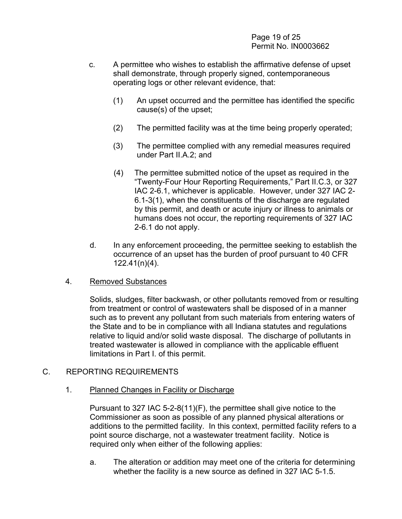Page 19 of 25 Permit No. IN0003662

- c. A permittee who wishes to establish the affirmative defense of upset shall demonstrate, through properly signed, contemporaneous operating logs or other relevant evidence, that:
	- (1) An upset occurred and the permittee has identified the specific cause(s) of the upset;
	- (2) The permitted facility was at the time being properly operated;
	- (3) The permittee complied with any remedial measures required under Part II.A.2; and
	- (4) The permittee submitted notice of the upset as required in the "Twenty-Four Hour Reporting Requirements," Part II.C.3, or 327 IAC 2-6.1, whichever is applicable. However, under 327 IAC 2- 6.1-3(1), when the constituents of the discharge are regulated by this permit, and death or acute injury or illness to animals or humans does not occur, the reporting requirements of 327 IAC 2-6.1 do not apply.
- d. In any enforcement proceeding, the permittee seeking to establish the occurrence of an upset has the burden of proof pursuant to 40 CFR 122.41(n)(4).

#### 4. Removed Substances

Solids, sludges, filter backwash, or other pollutants removed from or resulting from treatment or control of wastewaters shall be disposed of in a manner such as to prevent any pollutant from such materials from entering waters of the State and to be in compliance with all Indiana statutes and regulations relative to liquid and/or solid waste disposal. The discharge of pollutants in treated wastewater is allowed in compliance with the applicable effluent limitations in Part I. of this permit.

## C. REPORTING REQUIREMENTS

1. Planned Changes in Facility or Discharge

Pursuant to 327 IAC 5-2-8(11)(F), the permittee shall give notice to the Commissioner as soon as possible of any planned physical alterations or additions to the permitted facility. In this context, permitted facility refers to a point source discharge, not a wastewater treatment facility. Notice is required only when either of the following applies:

a. The alteration or addition may meet one of the criteria for determining whether the facility is a new source as defined in 327 IAC 5-1.5.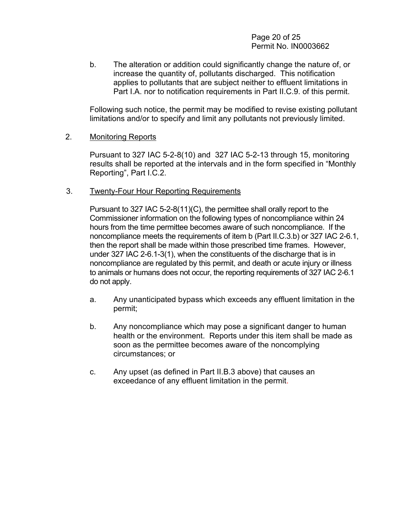Page 20 of 25 Permit No. IN0003662

b. The alteration or addition could significantly change the nature of, or increase the quantity of, pollutants discharged. This notification applies to pollutants that are subject neither to effluent limitations in Part I.A. nor to notification requirements in Part II.C.9. of this permit.

Following such notice, the permit may be modified to revise existing pollutant limitations and/or to specify and limit any pollutants not previously limited.

#### 2. Monitoring Reports

Pursuant to 327 IAC 5-2-8(10) and 327 IAC 5-2-13 through 15, monitoring results shall be reported at the intervals and in the form specified in "Monthly Reporting", Part I.C.2.

#### 3. Twenty-Four Hour Reporting Requirements

Pursuant to 327 IAC 5-2-8(11)(C), the permittee shall orally report to the Commissioner information on the following types of noncompliance within 24 hours from the time permittee becomes aware of such noncompliance. If the noncompliance meets the requirements of item b (Part II.C.3.b) or 327 IAC 2-6.1, then the report shall be made within those prescribed time frames. However, under 327 IAC 2-6.1-3(1), when the constituents of the discharge that is in noncompliance are regulated by this permit, and death or acute injury or illness to animals or humans does not occur, the reporting requirements of 327 IAC 2-6.1 do not apply.

- a. Any unanticipated bypass which exceeds any effluent limitation in the permit;
- b. Any noncompliance which may pose a significant danger to human health or the environment. Reports under this item shall be made as soon as the permittee becomes aware of the noncomplying circumstances; or
- c. Any upset (as defined in Part II.B.3 above) that causes an exceedance of any effluent limitation in the permit.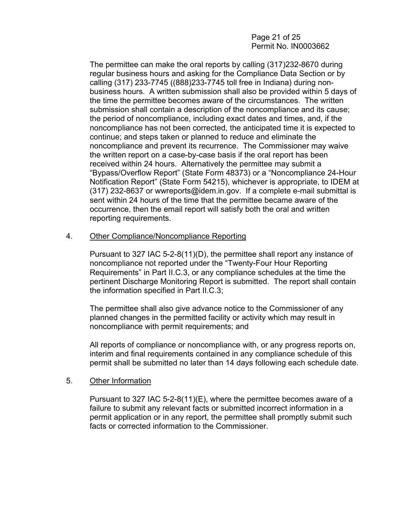## Page 21 of 25 Permit No. IN0003662

The permittee can make the oral reports by calling (317)232-8670 during regular business hours and asking for the Compliance Data Section or by calling (317) 233-7745 ((888)233-7745 toll free in Indiana) during nonbusiness hours. A written submission shall also be provided within 5 days of the time the permittee becomes aware of the circumstances. The written submission shall contain a description of the noncompliance and its cause; the period of noncompliance, including exact dates and times, and, if the noncompliance has not been corrected, the anticipated time it is expected to continue; and steps taken or planned to reduce and eliminate the noncompliance and prevent its recurrence. The Commissioner may waive the written report on a case-by-case basis if the oral report has been received within 24 hours. Alternatively the permittee may submit a "Bypass/Overflow Report" (State Form 48373) or a "Noncompliance 24-Hour Notification Report" (State Form 54215), whichever is appropriate, to IDEM at (317) 232-8637 or wwreports@idem.in.gov. If a complete e-mail submittal is sent within 24 hours of the time that the permittee became aware of the occurrence, then the email report will satisfy both the oral and written reporting requirements.

#### 4. Other Compliance/Noncompliance Reporting

Pursuant to 327 IAC 5-2-8(11)(D), the permittee shall report any instance of noncompliance not reported under the "Twenty-Four Hour Reporting Requirements" in Part II.C.3, or any compliance schedules at the time the pertinent Discharge Monitoring Report is submitted. The report shall contain the information specified in Part II.C.3;

The permittee shall also give advance notice to the Commissioner of any planned changes in the permitted facility or activity which may result in noncompliance with permit requirements; and

All reports of compliance or noncompliance with, or any progress reports on, interim and final requirements contained in any compliance schedule of this permit shall be submitted no later than 14 days following each schedule date.

#### 5. Other Information

Pursuant to 327 IAC 5-2-8(11)(E), where the permittee becomes aware of a failure to submit any relevant facts or submitted incorrect information in a permit application or in any report, the permittee shall promptly submit such facts or corrected information to the Commissioner.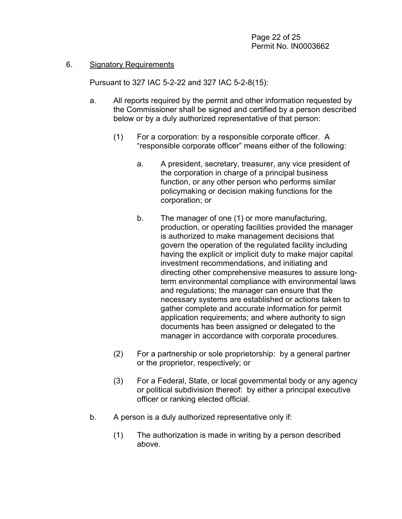#### 6. Signatory Requirements

Pursuant to 327 IAC 5-2-22 and 327 IAC 5-2-8(15):

- a. All reports required by the permit and other information requested by the Commissioner shall be signed and certified by a person described below or by a duly authorized representative of that person:
	- (1) For a corporation: by a responsible corporate officer. A "responsible corporate officer" means either of the following:
		- a. A president, secretary, treasurer, any vice president of the corporation in charge of a principal business function, or any other person who performs similar policymaking or decision making functions for the corporation; or
		- b. The manager of one (1) or more manufacturing, production, or operating facilities provided the manager is authorized to make management decisions that govern the operation of the regulated facility including having the explicit or implicit duty to make major capital investment recommendations, and initiating and directing other comprehensive measures to assure longterm environmental compliance with environmental laws and regulations; the manager can ensure that the necessary systems are established or actions taken to gather complete and accurate information for permit application requirements; and where authority to sign documents has been assigned or delegated to the manager in accordance with corporate procedures.
	- (2) For a partnership or sole proprietorship: by a general partner or the proprietor, respectively; or
	- (3) For a Federal, State, or local governmental body or any agency or political subdivision thereof: by either a principal executive officer or ranking elected official.
- b. A person is a duly authorized representative only if:
	- (1) The authorization is made in writing by a person described above.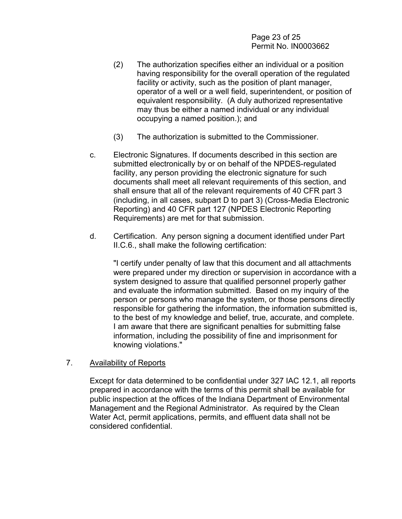Page 23 of 25 Permit No. IN0003662

- (2) The authorization specifies either an individual or a position having responsibility for the overall operation of the regulated facility or activity, such as the position of plant manager, operator of a well or a well field, superintendent, or position of equivalent responsibility. (A duly authorized representative may thus be either a named individual or any individual occupying a named position.); and
- (3) The authorization is submitted to the Commissioner.
- c. Electronic Signatures. If documents described in this section are submitted electronically by or on behalf of the NPDES-regulated facility, any person providing the electronic signature for such documents shall meet all relevant requirements of this section, and shall ensure that all of the relevant requirements of 40 CFR part 3 (including, in all cases, subpart D to part 3) (Cross-Media Electronic Reporting) and 40 CFR part 127 (NPDES Electronic Reporting Requirements) are met for that submission.
- d. Certification. Any person signing a document identified under Part II.C.6., shall make the following certification:

"I certify under penalty of law that this document and all attachments were prepared under my direction or supervision in accordance with a system designed to assure that qualified personnel properly gather and evaluate the information submitted. Based on my inquiry of the person or persons who manage the system, or those persons directly responsible for gathering the information, the information submitted is, to the best of my knowledge and belief, true, accurate, and complete. I am aware that there are significant penalties for submitting false information, including the possibility of fine and imprisonment for knowing violations."

#### 7. Availability of Reports

Except for data determined to be confidential under 327 IAC 12.1, all reports prepared in accordance with the terms of this permit shall be available for public inspection at the offices of the Indiana Department of Environmental Management and the Regional Administrator. As required by the Clean Water Act, permit applications, permits, and effluent data shall not be considered confidential.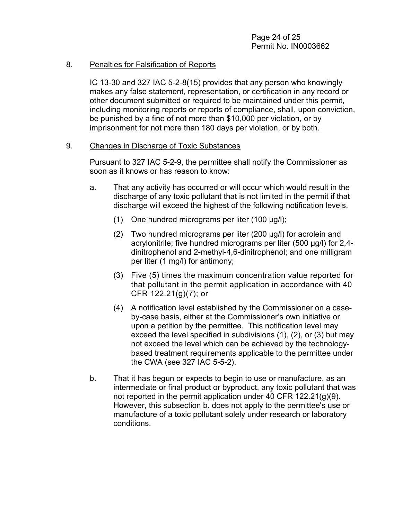#### 8. Penalties for Falsification of Reports

IC 13-30 and 327 IAC 5-2-8(15) provides that any person who knowingly makes any false statement, representation, or certification in any record or other document submitted or required to be maintained under this permit, including monitoring reports or reports of compliance, shall, upon conviction, be punished by a fine of not more than \$10,000 per violation, or by imprisonment for not more than 180 days per violation, or by both.

#### 9. Changes in Discharge of Toxic Substances

Pursuant to 327 IAC 5-2-9, the permittee shall notify the Commissioner as soon as it knows or has reason to know:

- a. That any activity has occurred or will occur which would result in the discharge of any toxic pollutant that is not limited in the permit if that discharge will exceed the highest of the following notification levels.
	- (1) One hundred micrograms per liter (100 µg/l);
	- (2) Two hundred micrograms per liter (200 µg/l) for acrolein and acrylonitrile; five hundred micrograms per liter (500 µg/l) for 2,4 dinitrophenol and 2-methyl-4,6-dinitrophenol; and one milligram per liter (1 mg/l) for antimony;
	- (3) Five (5) times the maximum concentration value reported for that pollutant in the permit application in accordance with 40 CFR 122.21(g)(7); or
	- (4) A notification level established by the Commissioner on a caseby-case basis, either at the Commissioner's own initiative or upon a petition by the permittee. This notification level may exceed the level specified in subdivisions (1), (2), or (3) but may not exceed the level which can be achieved by the technologybased treatment requirements applicable to the permittee under the CWA (see 327 IAC 5-5-2).
- b. That it has begun or expects to begin to use or manufacture, as an intermediate or final product or byproduct, any toxic pollutant that was not reported in the permit application under 40 CFR 122.21(g)(9). However, this subsection b. does not apply to the permittee's use or manufacture of a toxic pollutant solely under research or laboratory conditions.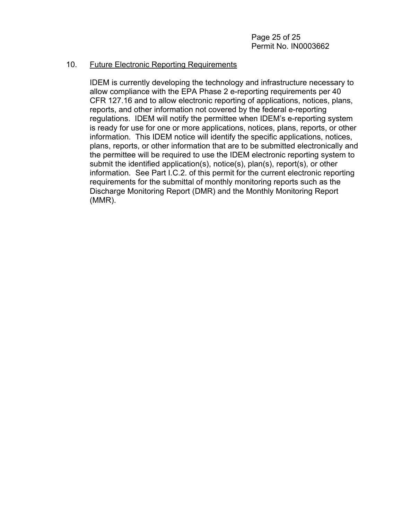## 10. Future Electronic Reporting Requirements

IDEM is currently developing the technology and infrastructure necessary to allow compliance with the EPA Phase 2 e-reporting requirements per 40 CFR 127.16 and to allow electronic reporting of applications, notices, plans, reports, and other information not covered by the federal e-reporting regulations. IDEM will notify the permittee when IDEM's e-reporting system is ready for use for one or more applications, notices, plans, reports, or other information. This IDEM notice will identify the specific applications, notices, plans, reports, or other information that are to be submitted electronically and the permittee will be required to use the IDEM electronic reporting system to submit the identified application(s), notice(s), plan(s), report(s), or other information. See Part I.C.2. of this permit for the current electronic reporting requirements for the submittal of monthly monitoring reports such as the Discharge Monitoring Report (DMR) and the Monthly Monitoring Report (MMR).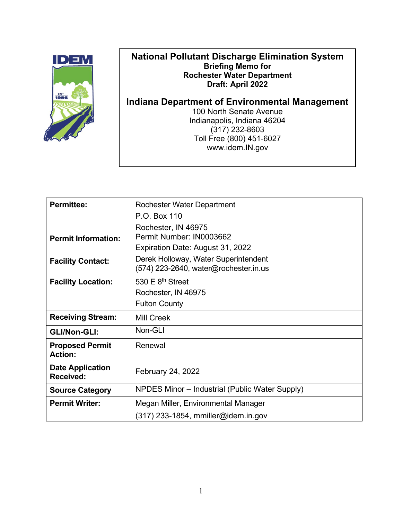

# **National Pollutant Discharge Elimination System Briefing Memo for Rochester Water Department Draft: April 2022**

**Indiana Department of Environmental Management**

100 North Senate Avenue Indianapolis, Indiana 46204 (317) 232-8603 Toll Free (800) 451-6027 www.idem.IN.gov

| <b>Permittee:</b>                           | Rochester Water Department                                                      |
|---------------------------------------------|---------------------------------------------------------------------------------|
|                                             | P.O. Box 110                                                                    |
|                                             | Rochester, IN 46975                                                             |
| <b>Permit Information:</b>                  | Permit Number: IN0003662                                                        |
|                                             | Expiration Date: August 31, 2022                                                |
| <b>Facility Contact:</b>                    | Derek Holloway, Water Superintendent<br>$(574)$ 223-2640, water@rochester.in.us |
| <b>Facility Location:</b>                   | 530 $E$ 8 <sup>th</sup> Street                                                  |
|                                             | Rochester, IN 46975                                                             |
|                                             | <b>Fulton County</b>                                                            |
| <b>Receiving Stream:</b>                    | <b>Mill Creek</b>                                                               |
| <b>GLI/Non-GLI:</b>                         | Non-GLI                                                                         |
| <b>Proposed Permit</b><br><b>Action:</b>    | Renewal                                                                         |
| <b>Date Application</b><br><b>Received:</b> | February 24, 2022                                                               |
| <b>Source Category</b>                      | NPDES Minor - Industrial (Public Water Supply)                                  |
| <b>Permit Writer:</b>                       | Megan Miller, Environmental Manager                                             |
|                                             | $(317)$ 233-1854, mmiller@idem.in.gov                                           |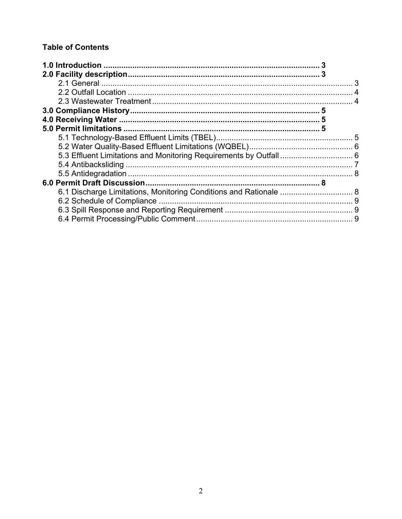# **Table of Contents**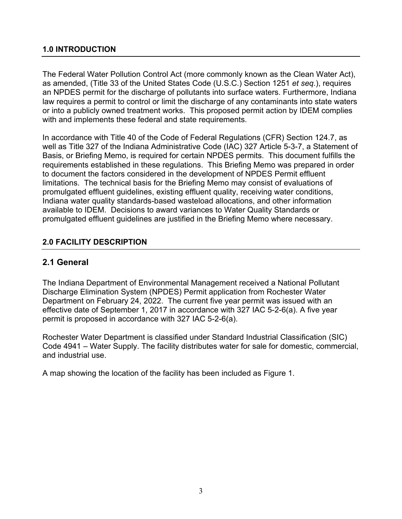# <span id="page-29-0"></span>**1.0 INTRODUCTION**

The Federal Water Pollution Control Act (more commonly known as the Clean Water Act), as amended, (Title 33 of the United States Code (U.S.C.) Section 1251 *et seq.*), requires an NPDES permit for the discharge of pollutants into surface waters. Furthermore, Indiana law requires a permit to control or limit the discharge of any contaminants into state waters or into a publicly owned treatment works. This proposed permit action by IDEM complies with and implements these federal and state requirements.

In accordance with Title 40 of the Code of Federal Regulations (CFR) Section 124.7, as well as Title 327 of the Indiana Administrative Code (IAC) 327 Article 5-3-7, a Statement of Basis, or Briefing Memo, is required for certain NPDES permits. This document fulfills the requirements established in these regulations. This Briefing Memo was prepared in order to document the factors considered in the development of NPDES Permit effluent limitations. The technical basis for the Briefing Memo may consist of evaluations of promulgated effluent guidelines, existing effluent quality, receiving water conditions, Indiana water quality standards-based wasteload allocations, and other information available to IDEM. Decisions to award variances to Water Quality Standards or promulgated effluent guidelines are justified in the Briefing Memo where necessary.

# <span id="page-29-1"></span>**2.0 FACILITY DESCRIPTION**

# <span id="page-29-2"></span>**2.1 General**

The Indiana Department of Environmental Management received a National Pollutant Discharge Elimination System (NPDES) Permit application from Rochester Water Department on February 24, 2022. The current five year permit was issued with an effective date of September 1, 2017 in accordance with 327 IAC 5-2-6(a). A five year permit is proposed in accordance with 327 IAC 5-2-6(a).

Rochester Water Department is classified under Standard Industrial Classification (SIC) Code 4941 – Water Supply. The facility distributes water for sale for domestic, commercial, and industrial use.

A map showing the location of the facility has been included as Figure 1.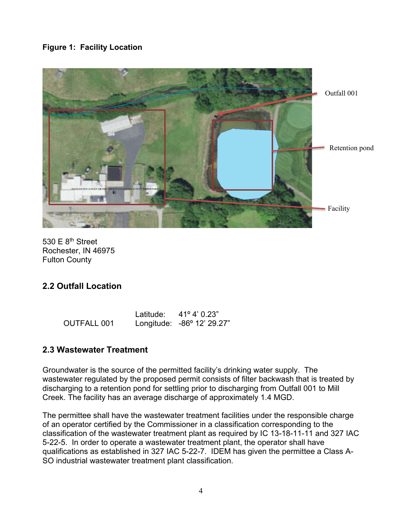# **Figure 1: Facility Location**



530  $E$  8<sup>th</sup> Street Rochester, IN 46975 Fulton County

# <span id="page-30-0"></span>**2.2 Outfall Location**

|                    | Latitude: | 41° 4' 0.23"               |
|--------------------|-----------|----------------------------|
| <b>OUTFALL 001</b> |           | Longitude: -86° 12' 29.27" |

# <span id="page-30-1"></span>**2.3 Wastewater Treatment**

Groundwater is the source of the permitted facility's drinking water supply. The wastewater regulated by the proposed permit consists of filter backwash that is treated by discharging to a retention pond for settling prior to discharging from Outfall 001 to Mill Creek. The facility has an average discharge of approximately 1.4 MGD.

The permittee shall have the wastewater treatment facilities under the responsible charge of an operator certified by the Commissioner in a classification corresponding to the classification of the wastewater treatment plant as required by IC 13-18-11-11 and 327 IAC 5-22-5. In order to operate a wastewater treatment plant, the operator shall have qualifications as established in 327 IAC 5-22-7. IDEM has given the permittee a Class A-SO industrial wastewater treatment plant classification.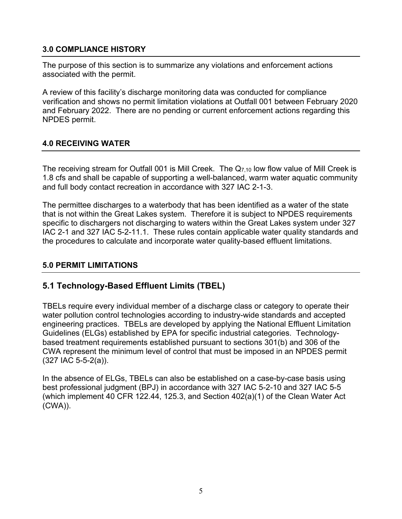# <span id="page-31-0"></span>**3.0 COMPLIANCE HISTORY**

The purpose of this section is to summarize any violations and enforcement actions associated with the permit.

A review of this facility's discharge monitoring data was conducted for compliance verification and shows no permit limitation violations at Outfall 001 between February 2020 and February 2022. There are no pending or current enforcement actions regarding this NPDES permit.

## <span id="page-31-1"></span>**4.0 RECEIVING WATER**

The receiving stream for Outfall 001 is Mill Creek. The  $Q_{7,10}$  low flow value of Mill Creek is 1.8 cfs and shall be capable of supporting a well-balanced, warm water aquatic community and full body contact recreation in accordance with 327 IAC 2-1-3.

The permittee discharges to a waterbody that has been identified as a water of the state that is not within the Great Lakes system. Therefore it is subject to NPDES requirements specific to dischargers not discharging to waters within the Great Lakes system under 327 IAC 2-1 and 327 IAC 5-2-11.1. These rules contain applicable water quality standards and the procedures to calculate and incorporate water quality-based effluent limitations.

## <span id="page-31-2"></span>**5.0 PERMIT LIMITATIONS**

# <span id="page-31-3"></span>**5.1 Technology-Based Effluent Limits (TBEL)**

TBELs require every individual member of a discharge class or category to operate their water pollution control technologies according to industry-wide standards and accepted engineering practices. TBELs are developed by applying the National Effluent Limitation Guidelines (ELGs) established by EPA for specific industrial categories. Technologybased treatment requirements established pursuant to sections 301(b) and 306 of the CWA represent the minimum level of control that must be imposed in an NPDES permit (327 IAC 5-5-2(a)).

In the absence of ELGs, TBELs can also be established on a case-by-case basis using best professional judgment (BPJ) in accordance with 327 IAC 5-2-10 and 327 IAC 5-5 (which implement 40 CFR 122.44, 125.3, and Section 402(a)(1) of the Clean Water Act (CWA)).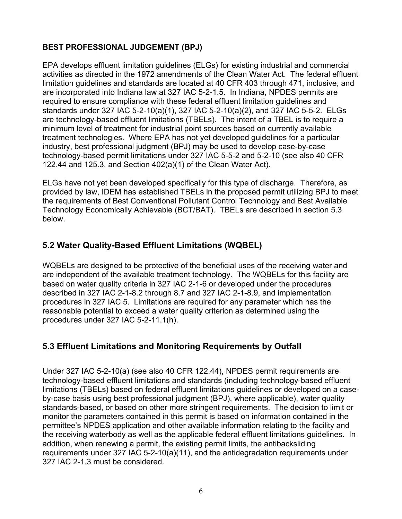# **BEST PROFESSIONAL JUDGEMENT (BPJ)**

EPA develops effluent limitation guidelines (ELGs) for existing industrial and commercial activities as directed in the 1972 amendments of the Clean Water Act. The federal effluent limitation guidelines and standards are located at 40 CFR 403 through 471, inclusive, and are incorporated into Indiana law at 327 IAC 5-2-1.5. In Indiana, NPDES permits are required to ensure compliance with these federal effluent limitation guidelines and standards under 327 IAC 5-2-10(a)(1), 327 IAC 5-2-10(a)(2), and 327 IAC 5-5-2. ELGs are technology-based effluent limitations (TBELs). The intent of a TBEL is to require a minimum level of treatment for industrial point sources based on currently available treatment technologies. Where EPA has not yet developed guidelines for a particular industry, best professional judgment (BPJ) may be used to develop case-by-case technology-based permit limitations under 327 IAC 5-5-2 and 5-2-10 (see also 40 CFR 122.44 and 125.3, and Section 402(a)(1) of the Clean Water Act).

ELGs have not yet been developed specifically for this type of discharge. Therefore, as provided by law, IDEM has established TBELs in the proposed permit utilizing BPJ to meet the requirements of Best Conventional Pollutant Control Technology and Best Available Technology Economically Achievable (BCT/BAT). TBELs are described in section 5.3 below.

# <span id="page-32-0"></span>**5.2 Water Quality-Based Effluent Limitations (WQBEL)**

WQBELs are designed to be protective of the beneficial uses of the receiving water and are independent of the available treatment technology. The WQBELs for this facility are based on water quality criteria in 327 IAC 2-1-6 or developed under the procedures described in 327 IAC 2-1-8.2 through 8.7 and 327 IAC 2-1-8.9, and implementation procedures in 327 IAC 5. Limitations are required for any parameter which has the reasonable potential to exceed a water quality criterion as determined using the procedures under 327 IAC 5-2-11.1(h).

# <span id="page-32-1"></span>**5.3 Effluent Limitations and Monitoring Requirements by Outfall**

Under 327 IAC 5-2-10(a) (see also 40 CFR 122.44), NPDES permit requirements are technology-based effluent limitations and standards (including technology-based effluent limitations (TBELs) based on federal effluent limitations guidelines or developed on a caseby-case basis using best professional judgment (BPJ), where applicable), water quality standards-based, or based on other more stringent requirements. The decision to limit or monitor the parameters contained in this permit is based on information contained in the permittee's NPDES application and other available information relating to the facility and the receiving waterbody as well as the applicable federal effluent limitations guidelines. In addition, when renewing a permit, the existing permit limits, the antibacksliding requirements under 327 IAC 5-2-10(a)(11), and the antidegradation requirements under 327 IAC 2-1.3 must be considered.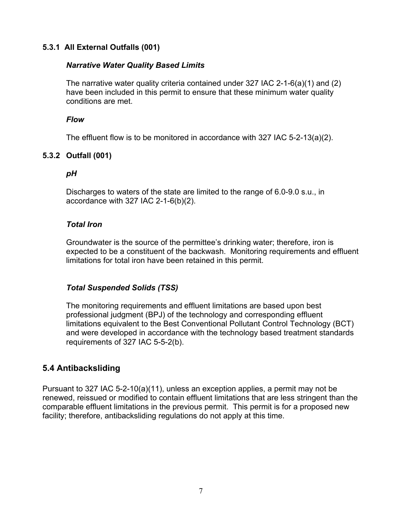# **5.3.1 All External Outfalls (001)**

#### *Narrative Water Quality Based Limits*

The narrative water quality criteria contained under 327 IAC 2-1-6(a)(1) and (2) have been included in this permit to ensure that these minimum water quality conditions are met.

#### *Flow*

The effluent flow is to be monitored in accordance with 327 IAC 5-2-13(a)(2).

# **5.3.2 Outfall (001)**

#### *pH*

Discharges to waters of the state are limited to the range of 6.0-9.0 s.u., in accordance with 327 IAC 2-1-6(b)(2).

#### *Total Iron*

Groundwater is the source of the permittee's drinking water; therefore, iron is expected to be a constituent of the backwash. Monitoring requirements and effluent limitations for total iron have been retained in this permit.

## *Total Suspended Solids (TSS)*

The monitoring requirements and effluent limitations are based upon best professional judgment (BPJ) of the technology and corresponding effluent limitations equivalent to the Best Conventional Pollutant Control Technology (BCT) and were developed in accordance with the technology based treatment standards requirements of 327 IAC 5-5-2(b).

# **5.4 Antibacksliding**

Pursuant to 327 IAC 5-2-10(a)(11), unless an exception applies, a permit may not be renewed, reissued or modified to contain effluent limitations that are less stringent than the comparable effluent limitations in the previous permit. This permit is for a proposed new facility; therefore, antibacksliding regulations do not apply at this time.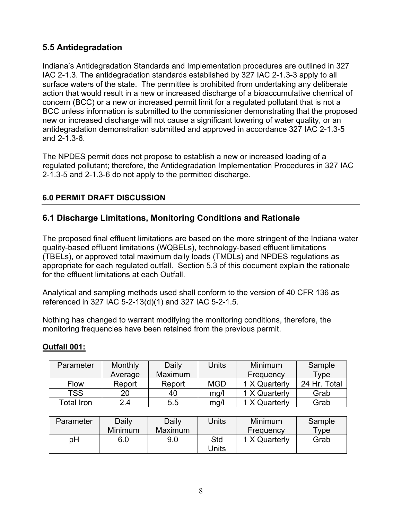# <span id="page-34-0"></span>**5.5 Antidegradation**

Indiana's Antidegradation Standards and Implementation procedures are outlined in 327 IAC 2-1.3. The antidegradation standards established by 327 IAC 2-1.3-3 apply to all surface waters of the state. The permittee is prohibited from undertaking any deliberate action that would result in a new or increased discharge of a bioaccumulative chemical of concern (BCC) or a new or increased permit limit for a regulated pollutant that is not a BCC unless information is submitted to the commissioner demonstrating that the proposed new or increased discharge will not cause a significant lowering of water quality, or an antidegradation demonstration submitted and approved in accordance 327 IAC 2-1.3-5 and 2-1.3-6.

The NPDES permit does not propose to establish a new or increased loading of a regulated pollutant; therefore, the Antidegradation Implementation Procedures in 327 IAC 2-1.3-5 and 2-1.3-6 do not apply to the permitted discharge.

# <span id="page-34-1"></span>**6.0 PERMIT DRAFT DISCUSSION**

# <span id="page-34-2"></span>**6.1 Discharge Limitations, Monitoring Conditions and Rationale**

The proposed final effluent limitations are based on the more stringent of the Indiana water quality-based effluent limitations (WQBELs), technology-based effluent limitations (TBELs), or approved total maximum daily loads (TMDLs) and NPDES regulations as appropriate for each regulated outfall. Section 5.3 of this document explain the rationale for the effluent limitations at each Outfall.

Analytical and sampling methods used shall conform to the version of 40 CFR 136 as referenced in 327 IAC 5-2-13(d)(1) and 327 IAC 5-2-1.5.

Nothing has changed to warrant modifying the monitoring conditions, therefore, the monitoring frequencies have been retained from the previous permit.

## **Outfall 001:**

| Parameter   | Monthly | Daily          | Units      | Minimum       | Sample       |
|-------------|---------|----------------|------------|---------------|--------------|
|             | Average | <b>Maximum</b> |            | Frequency     | Type         |
| <b>Flow</b> | Report  | Report         | <b>MGD</b> | 1 X Quarterly | 24 Hr. Total |
| <b>TSS</b>  | 20      | 40             | mg/l       | 1 X Quarterly | Grab         |
| Total Iron  | 24      | 5.5            | mg/l       | 1 X Quarterly | Grab         |

| Parameter | Daily          | Daily          | Jnits | <b>Minimum</b> | Sample              |
|-----------|----------------|----------------|-------|----------------|---------------------|
|           | <b>Minimum</b> | <b>Maximum</b> |       | Frequency      | $T$ <sub>V</sub> pe |
| рH        | 6.0            | 9.0            | Std   | 1 X Quarterly  | Grab                |
|           |                |                | Jnits |                |                     |